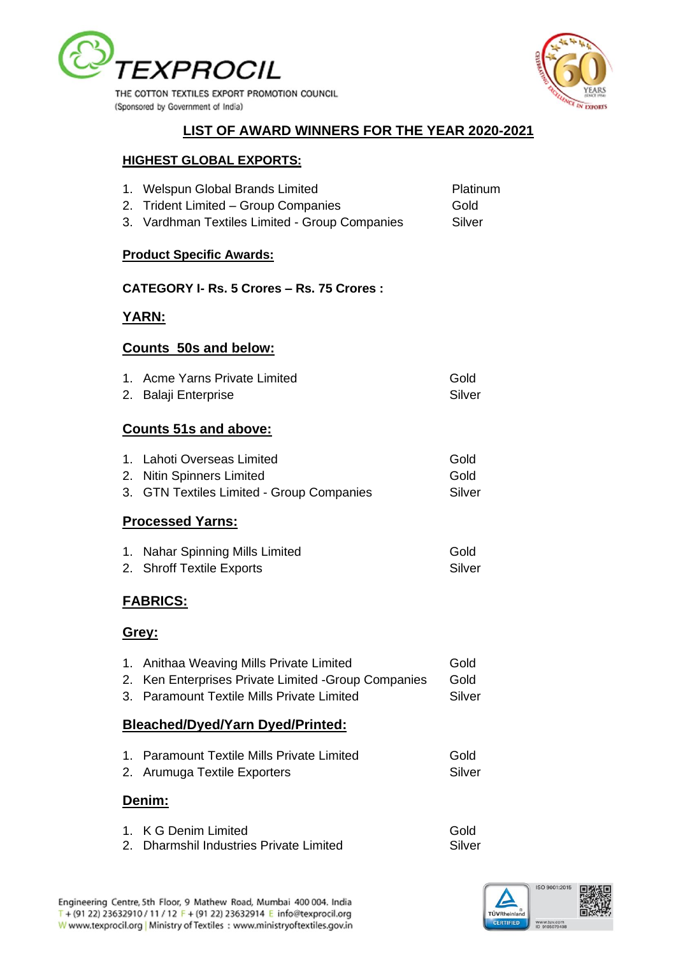



## **LIST OF AWARD WINNERS FOR THE YEAR 2020-2021**

#### **HIGHEST GLOBAL EXPORTS:**

|                 | 1. Welspun Global Brands Limited<br>2. Trident Limited - Group Companies<br>3. Vardhman Textiles Limited - Group Companies                     | Platinum<br>Gold<br>Silver |  |
|-----------------|------------------------------------------------------------------------------------------------------------------------------------------------|----------------------------|--|
|                 | <b>Product Specific Awards:</b>                                                                                                                |                            |  |
|                 | CATEGORY I- Rs. 5 Crores - Rs. 75 Crores:                                                                                                      |                            |  |
|                 | <u>YARN:</u>                                                                                                                                   |                            |  |
|                 | <b>Counts 50s and below:</b>                                                                                                                   |                            |  |
|                 | 1. Acme Yarns Private Limited<br>2. Balaji Enterprise                                                                                          | Gold<br>Silver             |  |
|                 | <b>Counts 51s and above:</b>                                                                                                                   |                            |  |
|                 | 1. Lahoti Overseas Limited<br>2. Nitin Spinners Limited<br>3. GTN Textiles Limited - Group Companies                                           | Gold<br>Gold<br>Silver     |  |
|                 | <b>Processed Yarns:</b>                                                                                                                        |                            |  |
|                 | 1. Nahar Spinning Mills Limited<br>2. Shroff Textile Exports                                                                                   | Gold<br>Silver             |  |
| <b>FABRICS:</b> |                                                                                                                                                |                            |  |
| <u>Grey:</u>    |                                                                                                                                                |                            |  |
|                 | 1. Anithaa Weaving Mills Private Limited<br>2. Ken Enterprises Private Limited - Group Companies<br>3. Paramount Textile Mills Private Limited | Gold<br>Gold<br>Silver     |  |

#### **Bleached/Dyed/Yarn Dyed/Printed:**

| 1. Paramount Textile Mills Private Limited | Gold   |
|--------------------------------------------|--------|
| 2. Arumuga Textile Exporters               | Silver |

#### **Denim:**

| 1. K G Denim Limited                    | Gold   |
|-----------------------------------------|--------|
| 2. Dharmshil Industries Private Limited | Silver |

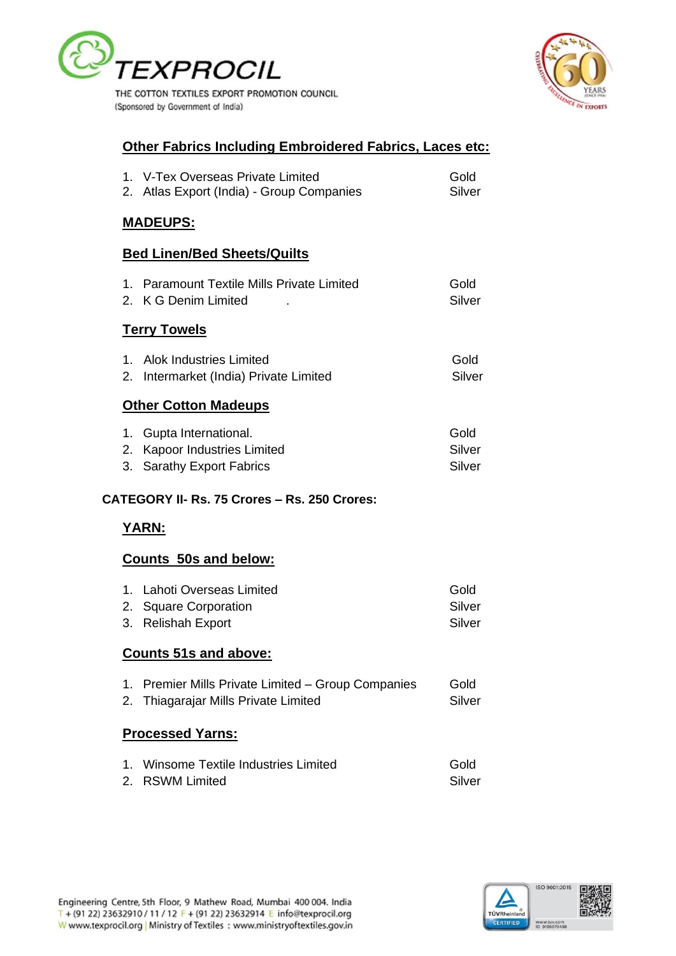

**EXPORTS** 

# **Other Fabrics Including Embroidered Fabrics, Laces etc:**

| 1. V-Tex Overseas Private Limited         | Gold   |
|-------------------------------------------|--------|
| 2. Atlas Export (India) - Group Companies | Silver |

## **MADEUPS:**

## **Bed Linen/Bed Sheets/Quilts**

| 1. Paramount Textile Mills Private Limited | Gold   |
|--------------------------------------------|--------|
| 2. K G Denim Limited                       | Silver |

### **Terry Towels**

| 1. Alok Industries Limited             | Gold   |
|----------------------------------------|--------|
| 2. Intermarket (India) Private Limited | Silver |

### **Other Cotton Madeups**

| 1. Gupta International.      | Gold   |
|------------------------------|--------|
| 2. Kapoor Industries Limited | Silver |
| 3. Sarathy Export Fabrics    | Silver |

### **CATEGORY II- Rs. 75 Crores – Rs. 250 Crores:**

## **YARN:**

### **Counts 50s and below:**

| 1. Lahoti Overseas Limited | Gold   |
|----------------------------|--------|
| 2. Square Corporation      | Silver |
| 3. Relishah Export         | Silver |

### **Counts 51s and above:**

| 1. Premier Mills Private Limited - Group Companies<br>Gold |  |
|------------------------------------------------------------|--|
|------------------------------------------------------------|--|

2. Thiagarajar Mills Private Limited Silver

## **Processed Yarns:**

| 1. Winsome Textile Industries Limited | Gold   |
|---------------------------------------|--------|
| 2. RSWM Limited                       | Silver |

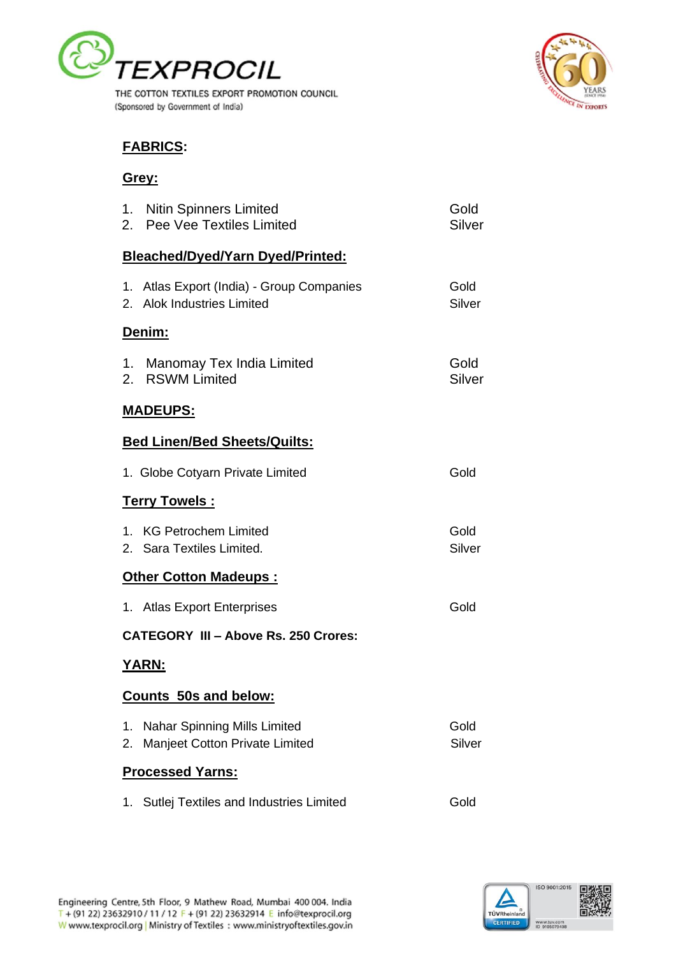



## **FABRICS:**

## **Grey:**

|                         | 1. Nitin Spinners Limited<br>2. Pee Vee Textiles Limited                | Gold<br>Silver |  |  |
|-------------------------|-------------------------------------------------------------------------|----------------|--|--|
|                         | <b>Bleached/Dyed/Yarn Dyed/Printed:</b>                                 |                |  |  |
|                         | 1. Atlas Export (India) - Group Companies<br>2. Alok Industries Limited | Gold<br>Silver |  |  |
|                         | <u>Denim:</u>                                                           |                |  |  |
|                         | 1. Manomay Tex India Limited<br>2. RSWM Limited                         | Gold<br>Silver |  |  |
|                         | <u> MADEUPS:</u>                                                        |                |  |  |
|                         | <b>Bed Linen/Bed Sheets/Quilts:</b>                                     |                |  |  |
|                         | 1. Globe Cotyarn Private Limited                                        | Gold           |  |  |
|                         | <u> Terry Towels :</u>                                                  |                |  |  |
|                         | 1. KG Petrochem Limited<br>2. Sara Textiles Limited.                    | Gold<br>Silver |  |  |
|                         | <u><b>Other Cotton Madeups:</b></u>                                     |                |  |  |
|                         | 1. Atlas Export Enterprises                                             | Gold           |  |  |
|                         | <b>CATEGORY III - Above Rs. 250 Crores:</b>                             |                |  |  |
|                         | YARN:                                                                   |                |  |  |
|                         | <u>Counts 50s and below:</u>                                            |                |  |  |
| 1.<br>2.                | <b>Nahar Spinning Mills Limited</b><br>Manjeet Cotton Private Limited   | Gold<br>Silver |  |  |
| <b>Processed Yarns:</b> |                                                                         |                |  |  |
| 1.                      | Sutlej Textiles and Industries Limited                                  | Gold           |  |  |

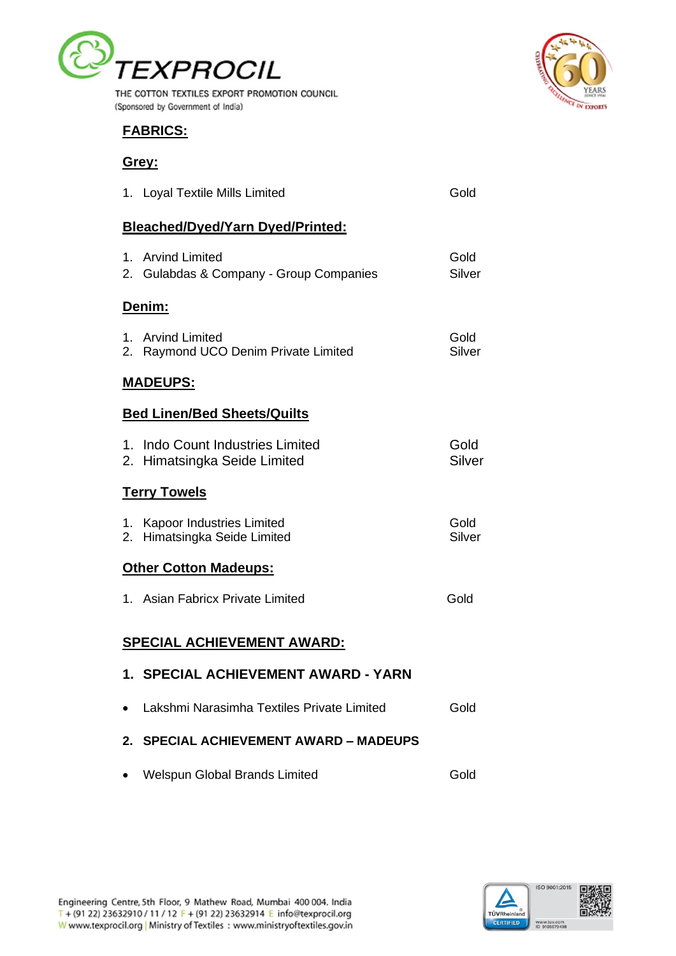

THE COTTON TEXTILES EXPORT PROMOTION COUNCIL (Sponsored by Government of India)



## **FABRICS:**

## **Grey:**

|           | 1. Loyal Textile Mills Limited                                   | Gold           |
|-----------|------------------------------------------------------------------|----------------|
|           | <b>Bleached/Dyed/Yarn Dyed/Printed:</b>                          |                |
|           | 1. Arvind Limited<br>2. Gulabdas & Company - Group Companies     | Gold<br>Silver |
|           | <u>Denim:</u>                                                    |                |
|           | 1. Arvind Limited<br>2. Raymond UCO Denim Private Limited        | Gold<br>Silver |
|           | <b>MADEUPS:</b>                                                  |                |
|           | <b>Bed Linen/Bed Sheets/Quilts</b>                               |                |
|           | 1. Indo Count Industries Limited<br>2. Himatsingka Seide Limited | Gold<br>Silver |
|           | <u> Terry Towels</u>                                             |                |
|           | 1. Kapoor Industries Limited<br>2. Himatsingka Seide Limited     | Gold<br>Silver |
|           | <b>Other Cotton Madeups:</b>                                     |                |
|           | 1. Asian Fabricx Private Limited                                 | Gold           |
|           | SPECIAL ACHIEVEMENT AWARD:                                       |                |
|           | 1. SPECIAL ACHIEVEMENT AWARD - YARN                              |                |
| $\bullet$ | Lakshmi Narasimha Textiles Private Limited                       | Gold           |
| 2.        | <b>SPECIAL ACHIEVEMENT AWARD - MADEUPS</b>                       |                |
|           | <b>Welspun Global Brands Limited</b>                             | Gold           |